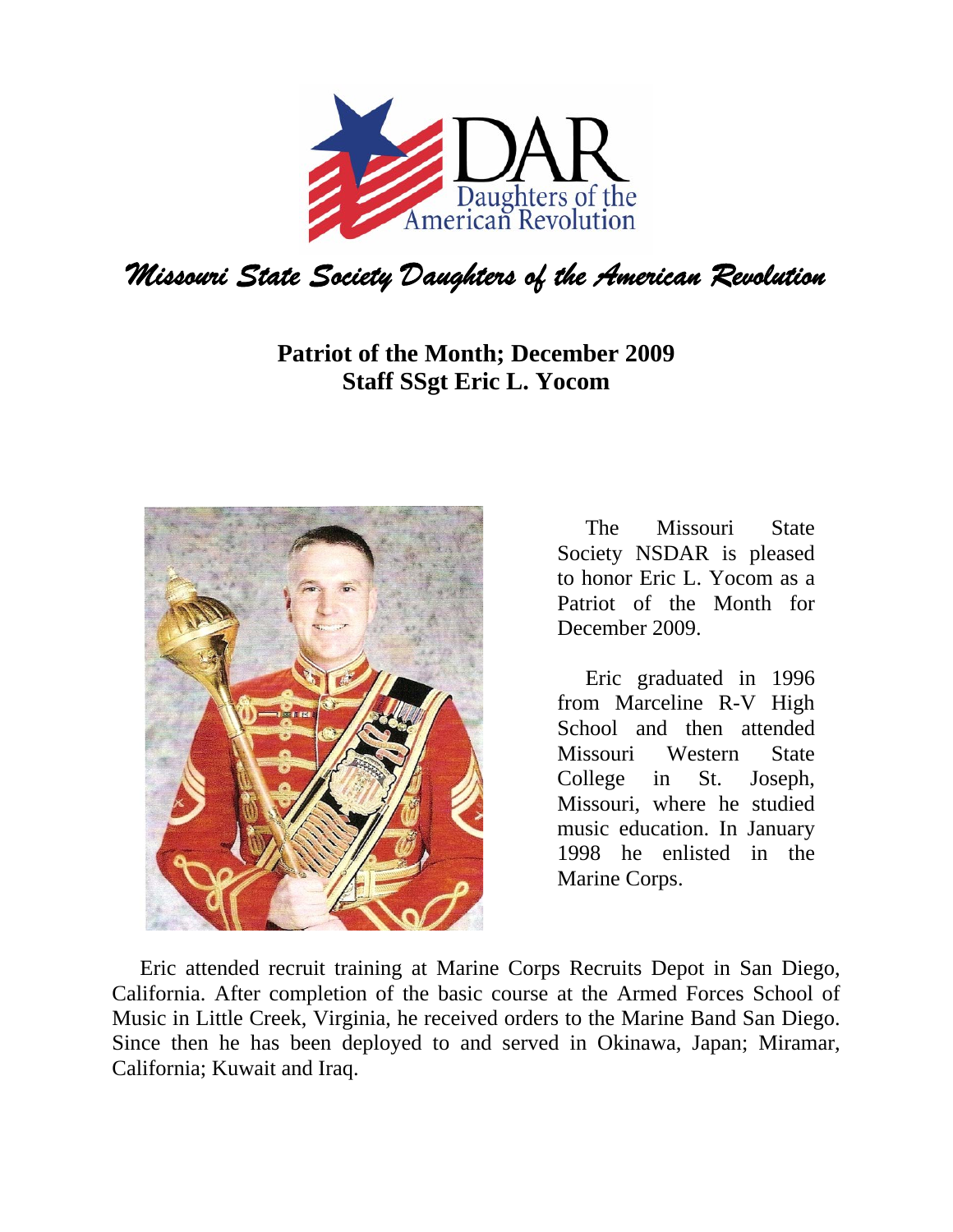

## **Patriot of the Month; December 2009 Staff SSgt Eric L. Yocom**



The Missouri State Society NSDAR is pleased to honor Eric L. Yocom as a Patriot of the Month for December 2009.

Eric graduated in 1996 from Marceline R-V High School and then attended Missouri Western State College in St. Joseph, Missouri, where he studied music education. In January 1998 he enlisted in the Marine Corps.

Eric attended recruit training at Marine Corps Recruits Depot in San Diego, California. After completion of the basic course at the Armed Forces School of Music in Little Creek, Virginia, he received orders to the Marine Band San Diego. Since then he has been deployed to and served in Okinawa, Japan; Miramar, California; Kuwait and Iraq.